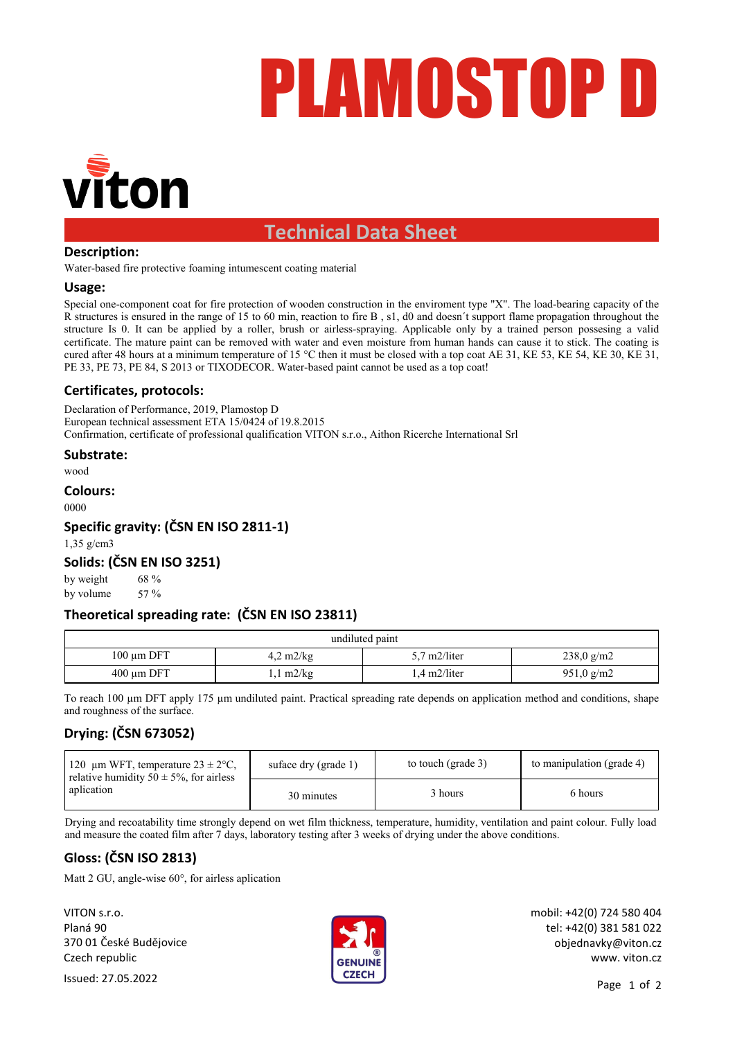# PLAMOSTOP D



# **Technical Data Sheet**

# **Description:**

Water-based fire protective foaming intumescent coating material

# **Usage:**

Special one-component coat for fire protection of wooden construction in the enviroment type "X". The load-bearing capacity of the R structures is ensured in the range of 15 to 60 min, reaction to fire B , s1, d0 and doesn´t support flame propagation throughout the structure Is 0. It can be applied by a roller, brush or airless-spraying. Applicable only by a trained person possesing a valid certificate. The mature paint can be removed with water and even moisture from human hands can cause it to stick. The coating is cured after 48 hours at a minimum temperature of 15 °C then it must be closed with a top coat AE 31, KE 53, KE 54, KE 30, KE 31, PE 33, PE 73, PE 84, S 2013 or TIXODECOR. Water-based paint cannot be used as a top coat!

# **Certificates, protocols:**

Declaration of Performance, 2019, Plamostop D European technical assessment ETA 15/0424 of 19.8.2015 Confirmation, certificate of professional qualification VITON s.r.o., Aithon Ricerche International Srl

**Substrate:**

wood

## **Colours:**

0000

# **Specific gravity: (ČSN EN ISO 2811-1)**

1,35 g/cm3

# **Solids: (ČSN EN ISO 3251)**

by weight by volume 57 % 68 %

# **Theoretical spreading rate: (ČSN EN ISO 23811)**

| undiluted paint |                     |                         |              |  |
|-----------------|---------------------|-------------------------|--------------|--|
| $100 \mu m$ DFT | $4,2 \frac{m2}{kg}$ | $5.7 \text{ m}2/l$ iter | $238,0$ g/m2 |  |
| $400 \mu m$ DFT | $1 \text{ m2/kg}$   | l.4 m2/liter            | $951,0$ g/m2 |  |

To reach 100  $\mu$ m DFT apply 175  $\mu$ m undiluted paint. Practical spreading rate depends on application method and conditions, shape and roughness of the surface.

# **Drying: (ČSN 673052)**

| 120 µm WFT, temperature $23 \pm 2$ °C,<br>relative humidity $50 \pm 5\%$ , for airless<br>aplication | suface dry (grade 1) | to touch (grade 3) | to manipulation (grade 4) |
|------------------------------------------------------------------------------------------------------|----------------------|--------------------|---------------------------|
|                                                                                                      | 30 minutes           | 3 hours            | 6 hours                   |

Drying and recoatability time strongly depend on wet film thickness, temperature, humidity, ventilation and paint colour. Fully load and measure the coated film after 7 days, laboratory testing after 3 weeks of drying under the above conditions.

# **Gloss: (ČSN ISO 2813)**

Matt 2 GU, angle-wise 60°, for airless aplication

VITON s.r.o. Planá 90 370 01 České Budějovice Czech republic



mobil: +42(0) 724 580 404 tel: +42(0) 381 581 022 objednavky@viton.cz www. viton.cz